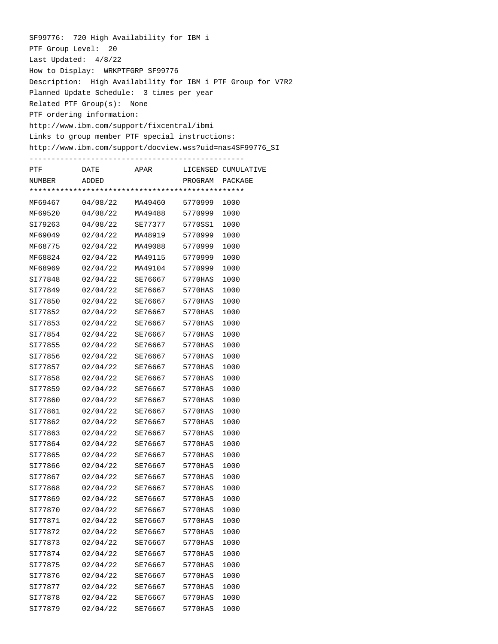SF99776: 720 High Availability for IBM i PTF Group Level: 20 Last Updated: 4/8/22 How to Display: WRKPTFGRP SF99776 Description: High Availability for IBM i PTF Group for V7R2 Planned Update Schedule: 3 times per year Related PTF Group(s): None PTF ordering information: http://www.ibm.com/support/fixcentral/ibmi Links to group member PTF special instructions: http://www.ibm.com/support/docview.wss?uid=nas4SF99776\_SI -------------------------------------------------

| PTF     | DATE     | APAR    |         | LICENSED CUMULATIVE |
|---------|----------|---------|---------|---------------------|
| NUMBER  | ADDED    |         | PROGRAM | PACKAGE             |
|         |          |         |         |                     |
| MF69467 | 04/08/22 | MA49460 | 5770999 | 1000                |
| MF69520 | 04/08/22 | MA49488 | 5770999 | 1000                |
| SI79263 | 04/08/22 | SE77377 | 5770SS1 | 1000                |
| MF69049 | 02/04/22 | MA48919 | 5770999 | 1000                |
| MF68775 | 02/04/22 | MA49088 | 5770999 | 1000                |
| MF68824 | 02/04/22 | MA49115 | 5770999 | 1000                |
| MF68969 | 02/04/22 | MA49104 | 5770999 | 1000                |
| SI77848 | 02/04/22 | SE76667 | 5770HAS | 1000                |
| SI77849 | 02/04/22 | SE76667 | 5770HAS | 1000                |
| SI77850 | 02/04/22 | SE76667 | 5770HAS | 1000                |
| SI77852 | 02/04/22 | SE76667 | 5770HAS | 1000                |
| SI77853 | 02/04/22 | SE76667 | 5770HAS | 1000                |
| SI77854 | 02/04/22 | SE76667 | 5770HAS | 1000                |
| SI77855 | 02/04/22 | SE76667 | 5770HAS | 1000                |
| SI77856 | 02/04/22 | SE76667 | 5770HAS | 1000                |
| SI77857 | 02/04/22 | SE76667 | 5770HAS | 1000                |
| SI77858 | 02/04/22 | SE76667 | 5770HAS | 1000                |
| SI77859 | 02/04/22 | SE76667 | 5770HAS | 1000                |
| SI77860 | 02/04/22 | SE76667 | 5770HAS | 1000                |
| SI77861 | 02/04/22 | SE76667 | 5770HAS | 1000                |
| SI77862 | 02/04/22 | SE76667 | 5770HAS | 1000                |
| SI77863 | 02/04/22 | SE76667 | 5770HAS | 1000                |
| SI77864 | 02/04/22 | SE76667 | 5770HAS | 1000                |
| SI77865 | 02/04/22 | SE76667 | 5770HAS | 1000                |
| SI77866 | 02/04/22 | SE76667 | 5770HAS | 1000                |
| SI77867 | 02/04/22 | SE76667 | 5770HAS | 1000                |
| SI77868 | 02/04/22 | SE76667 | 5770HAS | 1000                |
| SI77869 | 02/04/22 | SE76667 | 5770HAS | 1000                |
| SI77870 | 02/04/22 | SE76667 | 5770HAS | 1000                |
| SI77871 | 02/04/22 | SE76667 | 5770HAS | 1000                |
| SI77872 | 02/04/22 | SE76667 | 5770HAS | 1000                |
| SI77873 | 02/04/22 | SE76667 | 5770HAS | 1000                |
| SI77874 | 02/04/22 | SE76667 | 5770HAS | 1000                |
| SI77875 | 02/04/22 | SE76667 | 5770HAS | 1000                |
| SI77876 | 02/04/22 | SE76667 | 5770HAS | 1000                |
| SI77877 | 02/04/22 | SE76667 | 5770HAS | 1000                |
| SI77878 | 02/04/22 | SE76667 | 5770HAS | 1000                |
| SI77879 | 02/04/22 | SE76667 | 5770HAS | 1000                |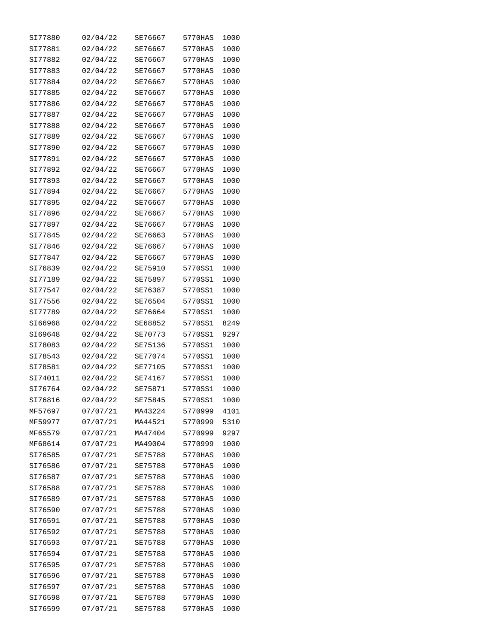| SI77880 | 02/04/22 | SE76667 | 5770HAS | 1000 |
|---------|----------|---------|---------|------|
| SI77881 | 02/04/22 | SE76667 | 5770HAS | 1000 |
| SI77882 | 02/04/22 | SE76667 | 5770HAS | 1000 |
| SI77883 | 02/04/22 | SE76667 | 5770HAS | 1000 |
| SI77884 | 02/04/22 | SE76667 | 5770HAS | 1000 |
| SI77885 | 02/04/22 | SE76667 | 5770HAS | 1000 |
| SI77886 | 02/04/22 | SE76667 | 5770HAS | 1000 |
| SI77887 | 02/04/22 | SE76667 | 5770HAS | 1000 |
| SI77888 | 02/04/22 | SE76667 | 5770HAS | 1000 |
| SI77889 | 02/04/22 | SE76667 | 5770HAS | 1000 |
| SI77890 | 02/04/22 | SE76667 | 5770HAS | 1000 |
| SI77891 | 02/04/22 | SE76667 | 5770HAS | 1000 |
| SI77892 | 02/04/22 | SE76667 | 5770HAS | 1000 |
| SI77893 | 02/04/22 | SE76667 | 5770HAS | 1000 |
| SI77894 | 02/04/22 | SE76667 | 5770HAS | 1000 |
| SI77895 | 02/04/22 | SE76667 | 5770HAS | 1000 |
| SI77896 | 02/04/22 | SE76667 | 5770HAS | 1000 |
| SI77897 | 02/04/22 | SE76667 | 5770HAS | 1000 |
| SI77845 | 02/04/22 | SE76663 | 5770HAS | 1000 |
| SI77846 | 02/04/22 | SE76667 | 5770HAS | 1000 |
| SI77847 | 02/04/22 | SE76667 | 5770HAS | 1000 |
| SI76839 | 02/04/22 | SE75910 | 5770SS1 | 1000 |
| SI77189 | 02/04/22 | SE75897 | 5770SS1 | 1000 |
| SI77547 | 02/04/22 | SE76387 | 5770SS1 | 1000 |
| SI77556 | 02/04/22 | SE76504 | 5770SS1 | 1000 |
| SI77789 | 02/04/22 | SE76664 | 5770SS1 | 1000 |
| SI66968 | 02/04/22 | SE68852 | 5770SS1 | 8249 |
| SI69648 | 02/04/22 | SE70773 | 5770SS1 | 9297 |
| SI78083 | 02/04/22 | SE75136 | 5770SS1 | 1000 |
| SI78543 | 02/04/22 | SE77074 | 5770SS1 | 1000 |
| SI78581 | 02/04/22 | SE77105 | 5770SS1 | 1000 |
| SI74011 | 02/04/22 | SE74167 | 5770SS1 | 1000 |
| SI76764 | 02/04/22 | SE75871 | 5770SS1 | 1000 |
| SI76816 | 02/04/22 | SE75845 | 5770SS1 | 1000 |
| MF57697 | 07/07/21 | MA43224 | 5770999 | 4101 |
| MF59977 | 07/07/21 | MA44521 | 5770999 | 5310 |
| MF65579 | 07/07/21 | MA47404 | 5770999 | 9297 |
| MF68614 | 07/07/21 | MA49004 | 5770999 | 1000 |
| SI76585 | 07/07/21 | SE75788 | 5770HAS | 1000 |
| SI76586 | 07/07/21 | SE75788 | 5770HAS | 1000 |
| SI76587 | 07/07/21 | SE75788 | 5770HAS | 1000 |
| SI76588 | 07/07/21 | SE75788 | 5770HAS | 1000 |
| SI76589 | 07/07/21 | SE75788 | 5770HAS | 1000 |
| SI76590 | 07/07/21 | SE75788 | 5770HAS | 1000 |
| SI76591 | 07/07/21 | SE75788 | 5770HAS | 1000 |
| SI76592 | 07/07/21 | SE75788 | 5770HAS | 1000 |
| SI76593 | 07/07/21 | SE75788 | 5770HAS | 1000 |
| SI76594 | 07/07/21 | SE75788 | 5770HAS | 1000 |
| SI76595 | 07/07/21 | SE75788 | 5770HAS | 1000 |
| SI76596 | 07/07/21 | SE75788 | 5770HAS | 1000 |
| SI76597 | 07/07/21 | SE75788 | 5770HAS | 1000 |
| SI76598 | 07/07/21 | SE75788 | 5770HAS | 1000 |
| SI76599 | 07/07/21 | SE75788 | 5770HAS | 1000 |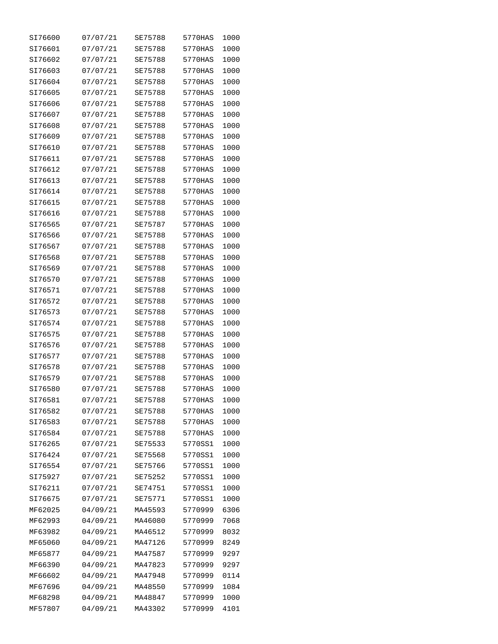| SI76600 | 07/07/21 | SE75788 | 5770HAS | 1000 |
|---------|----------|---------|---------|------|
| SI76601 | 07/07/21 | SE75788 | 5770HAS | 1000 |
| SI76602 | 07/07/21 | SE75788 | 5770HAS | 1000 |
| SI76603 | 07/07/21 | SE75788 | 5770HAS | 1000 |
| SI76604 | 07/07/21 | SE75788 | 5770HAS | 1000 |
| SI76605 | 07/07/21 | SE75788 | 5770HAS | 1000 |
| SI76606 | 07/07/21 | SE75788 | 5770HAS | 1000 |
| SI76607 | 07/07/21 | SE75788 | 5770HAS | 1000 |
| SI76608 | 07/07/21 | SE75788 | 5770HAS | 1000 |
| SI76609 | 07/07/21 | SE75788 | 5770HAS | 1000 |
| SI76610 | 07/07/21 | SE75788 | 5770HAS | 1000 |
| SI76611 | 07/07/21 | SE75788 | 5770HAS | 1000 |
| SI76612 | 07/07/21 | SE75788 | 5770HAS | 1000 |
| SI76613 | 07/07/21 | SE75788 | 5770HAS | 1000 |
| SI76614 | 07/07/21 | SE75788 | 5770HAS | 1000 |
| SI76615 | 07/07/21 | SE75788 | 5770HAS | 1000 |
| SI76616 | 07/07/21 | SE75788 | 5770HAS | 1000 |
| SI76565 | 07/07/21 | SE75787 | 5770HAS | 1000 |
| SI76566 | 07/07/21 | SE75788 | 5770HAS | 1000 |
| SI76567 | 07/07/21 | SE75788 | 5770HAS | 1000 |
| SI76568 | 07/07/21 | SE75788 | 5770HAS | 1000 |
| SI76569 | 07/07/21 | SE75788 | 5770HAS | 1000 |
| SI76570 | 07/07/21 | SE75788 | 5770HAS | 1000 |
| SI76571 | 07/07/21 | SE75788 | 5770HAS | 1000 |
| SI76572 | 07/07/21 | SE75788 | 5770HAS | 1000 |
| SI76573 | 07/07/21 | SE75788 | 5770HAS | 1000 |
| SI76574 | 07/07/21 | SE75788 | 5770HAS | 1000 |
| SI76575 | 07/07/21 | SE75788 | 5770HAS | 1000 |
| SI76576 | 07/07/21 | SE75788 | 5770HAS | 1000 |
| SI76577 | 07/07/21 | SE75788 | 5770HAS | 1000 |
| SI76578 | 07/07/21 | SE75788 | 5770HAS | 1000 |
| SI76579 | 07/07/21 | SE75788 | 5770HAS | 1000 |
| SI76580 | 07/07/21 | SE75788 | 5770HAS | 1000 |
| SI76581 | 07/07/21 | SE75788 | 5770HAS | 1000 |
| SI76582 | 07/07/21 | SE75788 | 5770HAS | 1000 |
| SI76583 | 07/07/21 | SE75788 | 5770HAS | 1000 |
| SI76584 | 07/07/21 | SE75788 | 5770HAS | 1000 |
| SI76265 | 07/07/21 | SE75533 | 5770SS1 | 1000 |
| SI76424 | 07/07/21 | SE75568 | 5770SS1 | 1000 |
| SI76554 | 07/07/21 | SE75766 | 5770SS1 | 1000 |
| SI75927 | 07/07/21 | SE75252 | 5770SS1 | 1000 |
| SI76211 | 07/07/21 | SE74751 | 5770SS1 | 1000 |
| SI76675 | 07/07/21 | SE75771 | 5770SS1 | 1000 |
| MF62025 | 04/09/21 | MA45593 | 5770999 | 6306 |
| MF62993 | 04/09/21 | MA46080 | 5770999 | 7068 |
| MF63982 | 04/09/21 | MA46512 | 5770999 | 8032 |
| MF65060 | 04/09/21 | MA47126 | 5770999 | 8249 |
| MF65877 | 04/09/21 | MA47587 | 5770999 | 9297 |
| MF66390 | 04/09/21 | MA47823 | 5770999 | 9297 |
| MF66602 | 04/09/21 | MA47948 | 5770999 | 0114 |
| MF67696 | 04/09/21 | MA48550 | 5770999 | 1084 |
| MF68298 | 04/09/21 | MA48847 | 5770999 | 1000 |
| MF57807 | 04/09/21 | MA43302 | 5770999 | 4101 |
|         |          |         |         |      |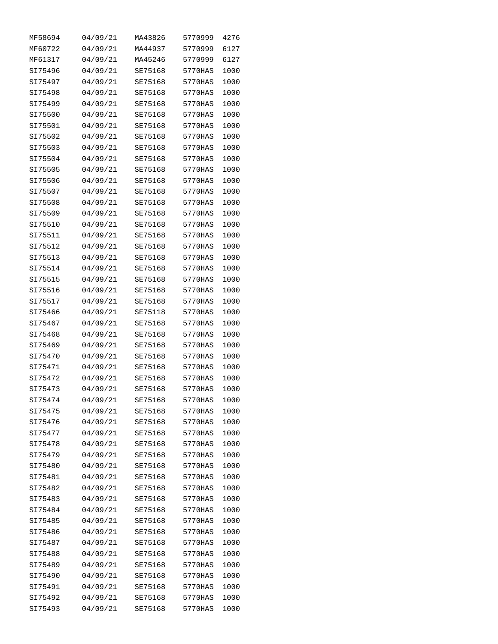| MF58694 | 04/09/21 | MA43826 | 5770999 | 4276 |
|---------|----------|---------|---------|------|
| MF60722 | 04/09/21 | MA44937 | 5770999 | 6127 |
| MF61317 | 04/09/21 | MA45246 | 5770999 | 6127 |
| SI75496 | 04/09/21 | SE75168 | 5770HAS | 1000 |
| SI75497 | 04/09/21 | SE75168 | 5770HAS | 1000 |
| SI75498 | 04/09/21 | SE75168 | 5770HAS | 1000 |
| SI75499 | 04/09/21 | SE75168 | 5770HAS | 1000 |
| SI75500 | 04/09/21 | SE75168 | 5770HAS | 1000 |
| SI75501 | 04/09/21 | SE75168 | 5770HAS | 1000 |
| SI75502 | 04/09/21 | SE75168 | 5770HAS | 1000 |
| SI75503 | 04/09/21 | SE75168 | 5770HAS | 1000 |
| SI75504 | 04/09/21 | SE75168 | 5770HAS | 1000 |
| SI75505 | 04/09/21 | SE75168 | 5770HAS | 1000 |
| SI75506 | 04/09/21 | SE75168 | 5770HAS | 1000 |
| SI75507 | 04/09/21 | SE75168 | 5770HAS | 1000 |
| SI75508 | 04/09/21 | SE75168 | 5770HAS | 1000 |
| SI75509 | 04/09/21 | SE75168 | 5770HAS | 1000 |
| SI75510 | 04/09/21 | SE75168 | 5770HAS | 1000 |
| SI75511 | 04/09/21 | SE75168 | 5770HAS | 1000 |
| SI75512 | 04/09/21 | SE75168 | 5770HAS | 1000 |
| SI75513 | 04/09/21 | SE75168 | 5770HAS | 1000 |
| SI75514 | 04/09/21 | SE75168 | 5770HAS | 1000 |
| SI75515 | 04/09/21 | SE75168 | 5770HAS | 1000 |
| SI75516 | 04/09/21 | SE75168 | 5770HAS | 1000 |
| SI75517 | 04/09/21 | SE75168 | 5770HAS | 1000 |
| SI75466 | 04/09/21 | SE75118 | 5770HAS | 1000 |
| SI75467 | 04/09/21 | SE75168 | 5770HAS | 1000 |
| SI75468 | 04/09/21 | SE75168 | 5770HAS | 1000 |
| SI75469 | 04/09/21 | SE75168 | 5770HAS | 1000 |
| SI75470 | 04/09/21 | SE75168 | 5770HAS | 1000 |
| SI75471 | 04/09/21 | SE75168 | 5770HAS | 1000 |
| SI75472 | 04/09/21 | SE75168 | 5770HAS | 1000 |
| SI75473 | 04/09/21 | SE75168 | 5770HAS | 1000 |
| SI75474 | 04/09/21 | SE75168 | 5770HAS | 1000 |
| SI75475 | 04/09/21 | SE75168 | 5770HAS | 1000 |
| SI75476 | 04/09/21 | SE75168 | 5770HAS | 1000 |
| SI75477 | 04/09/21 | SE75168 | 5770HAS | 1000 |
| SI75478 | 04/09/21 | SE75168 | 5770HAS | 1000 |
| SI75479 | 04/09/21 | SE75168 | 5770HAS | 1000 |
| SI75480 | 04/09/21 | SE75168 | 5770HAS | 1000 |
| SI75481 | 04/09/21 | SE75168 | 5770HAS | 1000 |
| SI75482 | 04/09/21 | SE75168 | 5770HAS | 1000 |
| SI75483 | 04/09/21 | SE75168 | 5770HAS | 1000 |
| SI75484 | 04/09/21 | SE75168 | 5770HAS | 1000 |
| SI75485 | 04/09/21 | SE75168 | 5770HAS | 1000 |
| SI75486 | 04/09/21 | SE75168 | 5770HAS | 1000 |
| SI75487 | 04/09/21 | SE75168 | 5770HAS | 1000 |
| SI75488 | 04/09/21 | SE75168 | 5770HAS | 1000 |
| SI75489 | 04/09/21 | SE75168 | 5770HAS | 1000 |
| SI75490 | 04/09/21 | SE75168 | 5770HAS | 1000 |
| SI75491 | 04/09/21 | SE75168 | 5770HAS | 1000 |
| SI75492 | 04/09/21 | SE75168 | 5770HAS | 1000 |
| SI75493 | 04/09/21 | SE75168 | 5770HAS | 1000 |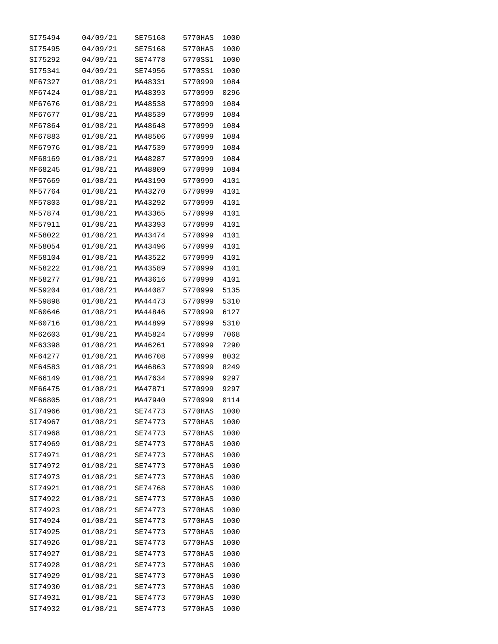| SI75494 | 04/09/21 | SE75168 | 5770HAS | 1000 |
|---------|----------|---------|---------|------|
| SI75495 | 04/09/21 | SE75168 | 5770HAS | 1000 |
| SI75292 | 04/09/21 | SE74778 | 5770SS1 | 1000 |
| SI75341 | 04/09/21 | SE74956 | 5770SS1 | 1000 |
| MF67327 | 01/08/21 | MA48331 | 5770999 | 1084 |
| MF67424 | 01/08/21 | MA48393 | 5770999 | 0296 |
| MF67676 | 01/08/21 | MA48538 | 5770999 | 1084 |
| MF67677 | 01/08/21 | MA48539 | 5770999 | 1084 |
| MF67864 | 01/08/21 | MA48648 | 5770999 | 1084 |
| MF67883 | 01/08/21 | MA48506 | 5770999 | 1084 |
| MF67976 | 01/08/21 | MA47539 | 5770999 | 1084 |
| MF68169 | 01/08/21 | MA48287 | 5770999 | 1084 |
| MF68245 | 01/08/21 | MA48809 | 5770999 | 1084 |
| MF57669 | 01/08/21 | MA43190 | 5770999 | 4101 |
| MF57764 | 01/08/21 | MA43270 | 5770999 | 4101 |
| MF57803 | 01/08/21 | MA43292 | 5770999 | 4101 |
| MF57874 | 01/08/21 | MA43365 | 5770999 | 4101 |
| MF57911 | 01/08/21 | MA43393 | 5770999 | 4101 |
| MF58022 | 01/08/21 | MA43474 | 5770999 | 4101 |
| MF58054 | 01/08/21 | MA43496 | 5770999 | 4101 |
| MF58104 | 01/08/21 | MA43522 | 5770999 | 4101 |
| MF58222 | 01/08/21 | MA43589 | 5770999 | 4101 |
| MF58277 | 01/08/21 | MA43616 | 5770999 | 4101 |
| MF59204 | 01/08/21 | MA44087 | 5770999 | 5135 |
| MF59898 | 01/08/21 | MA44473 | 5770999 | 5310 |
| MF60646 | 01/08/21 | MA44846 | 5770999 | 6127 |
| MF60716 | 01/08/21 | MA44899 | 5770999 | 5310 |
| MF62603 | 01/08/21 | MA45824 | 5770999 | 7068 |
| MF63398 | 01/08/21 | MA46261 | 5770999 | 7290 |
| MF64277 | 01/08/21 | MA46708 | 5770999 | 8032 |
| MF64583 | 01/08/21 | MA46863 | 5770999 | 8249 |
| MF66149 | 01/08/21 | MA47634 | 5770999 | 9297 |
| MF66475 | 01/08/21 | MA47871 | 5770999 | 9297 |
| MF66805 | 01/08/21 | MA47940 | 5770999 | 0114 |
| SI74966 | 01/08/21 | SE74773 | 5770HAS | 1000 |
| SI74967 | 01/08/21 | SE74773 | 5770HAS | 1000 |
| SI74968 | 01/08/21 | SE74773 | 5770HAS | 1000 |
| SI74969 | 01/08/21 | SE74773 | 5770HAS | 1000 |
| SI74971 | 01/08/21 | SE74773 | 5770HAS | 1000 |
| SI74972 | 01/08/21 | SE74773 | 5770HAS | 1000 |
| SI74973 | 01/08/21 | SE74773 | 5770HAS | 1000 |
| SI74921 | 01/08/21 | SE74768 | 5770HAS | 1000 |
| SI74922 | 01/08/21 | SE74773 | 5770HAS | 1000 |
| SI74923 | 01/08/21 | SE74773 | 5770HAS | 1000 |
| SI74924 | 01/08/21 | SE74773 | 5770HAS | 1000 |
| SI74925 | 01/08/21 | SE74773 | 5770HAS | 1000 |
| SI74926 | 01/08/21 | SE74773 | 5770HAS | 1000 |
| SI74927 | 01/08/21 | SE74773 | 5770HAS | 1000 |
| SI74928 | 01/08/21 | SE74773 | 5770HAS | 1000 |
| SI74929 | 01/08/21 | SE74773 | 5770HAS | 1000 |
| SI74930 | 01/08/21 | SE74773 | 5770HAS | 1000 |
| SI74931 | 01/08/21 | SE74773 | 5770HAS | 1000 |
| SI74932 | 01/08/21 | SE74773 | 5770HAS | 1000 |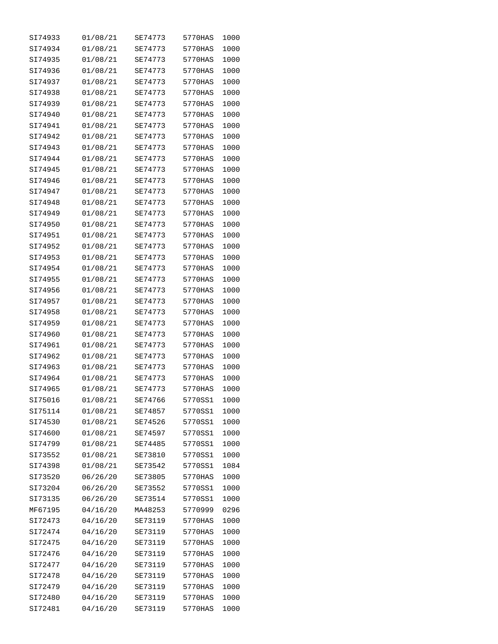| SI74933 | 01/08/21 | SE74773 | 5770HAS | 1000 |
|---------|----------|---------|---------|------|
| SI74934 | 01/08/21 | SE74773 | 5770HAS | 1000 |
| SI74935 | 01/08/21 | SE74773 | 5770HAS | 1000 |
| SI74936 | 01/08/21 | SE74773 | 5770HAS | 1000 |
| SI74937 | 01/08/21 | SE74773 | 5770HAS | 1000 |
| SI74938 | 01/08/21 | SE74773 | 5770HAS | 1000 |
| SI74939 | 01/08/21 | SE74773 | 5770HAS | 1000 |
| SI74940 | 01/08/21 | SE74773 | 5770HAS | 1000 |
| SI74941 | 01/08/21 | SE74773 | 5770HAS | 1000 |
| SI74942 | 01/08/21 | SE74773 | 5770HAS | 1000 |
| SI74943 | 01/08/21 | SE74773 | 5770HAS | 1000 |
| SI74944 | 01/08/21 | SE74773 | 5770HAS | 1000 |
| SI74945 | 01/08/21 | SE74773 | 5770HAS | 1000 |
| SI74946 | 01/08/21 | SE74773 | 5770HAS | 1000 |
| SI74947 | 01/08/21 | SE74773 | 5770HAS | 1000 |
| SI74948 |          | SE74773 | 5770HAS | 1000 |
|         | 01/08/21 |         |         | 1000 |
| SI74949 | 01/08/21 | SE74773 | 5770HAS |      |
| SI74950 | 01/08/21 | SE74773 | 5770HAS | 1000 |
| SI74951 | 01/08/21 | SE74773 | 5770HAS | 1000 |
| SI74952 | 01/08/21 | SE74773 | 5770HAS | 1000 |
| SI74953 | 01/08/21 | SE74773 | 5770HAS | 1000 |
| SI74954 | 01/08/21 | SE74773 | 5770HAS | 1000 |
| SI74955 | 01/08/21 | SE74773 | 5770HAS | 1000 |
| SI74956 | 01/08/21 | SE74773 | 5770HAS | 1000 |
| SI74957 | 01/08/21 | SE74773 | 5770HAS | 1000 |
| SI74958 | 01/08/21 | SE74773 | 5770HAS | 1000 |
| SI74959 | 01/08/21 | SE74773 | 5770HAS | 1000 |
| SI74960 | 01/08/21 | SE74773 | 5770HAS | 1000 |
| SI74961 | 01/08/21 | SE74773 | 5770HAS | 1000 |
| SI74962 | 01/08/21 | SE74773 | 5770HAS | 1000 |
| SI74963 | 01/08/21 | SE74773 | 5770HAS | 1000 |
| SI74964 | 01/08/21 | SE74773 | 5770HAS | 1000 |
| SI74965 | 01/08/21 | SE74773 | 5770HAS | 1000 |
| SI75016 | 01/08/21 | SE74766 | 5770SS1 | 1000 |
| SI75114 | 01/08/21 | SE74857 | 5770SS1 | 1000 |
| SI74530 | 01/08/21 | SE74526 | 5770SS1 | 1000 |
| SI74600 | 01/08/21 | SE74597 | 5770SS1 | 1000 |
| SI74799 | 01/08/21 | SE74485 | 5770SS1 | 1000 |
| SI73552 | 01/08/21 | SE73810 | 5770SS1 | 1000 |
| SI74398 | 01/08/21 | SE73542 | 5770SS1 | 1084 |
| SI73520 | 06/26/20 | SE73805 | 5770HAS | 1000 |
| SI73204 | 06/26/20 | SE73552 | 5770SS1 | 1000 |
| SI73135 | 06/26/20 | SE73514 | 5770SS1 | 1000 |
| MF67195 | 04/16/20 | MA48253 | 5770999 | 0296 |
| SI72473 | 04/16/20 | SE73119 | 5770HAS | 1000 |
| SI72474 | 04/16/20 | SE73119 | 5770HAS | 1000 |
| SI72475 | 04/16/20 | SE73119 | 5770HAS | 1000 |
| SI72476 | 04/16/20 | SE73119 | 5770HAS | 1000 |
| SI72477 | 04/16/20 | SE73119 | 5770HAS | 1000 |
| SI72478 | 04/16/20 | SE73119 | 5770HAS | 1000 |
| SI72479 | 04/16/20 | SE73119 | 5770HAS | 1000 |
| SI72480 | 04/16/20 | SE73119 | 5770HAS | 1000 |
| SI72481 | 04/16/20 | SE73119 | 5770HAS | 1000 |
|         |          |         |         |      |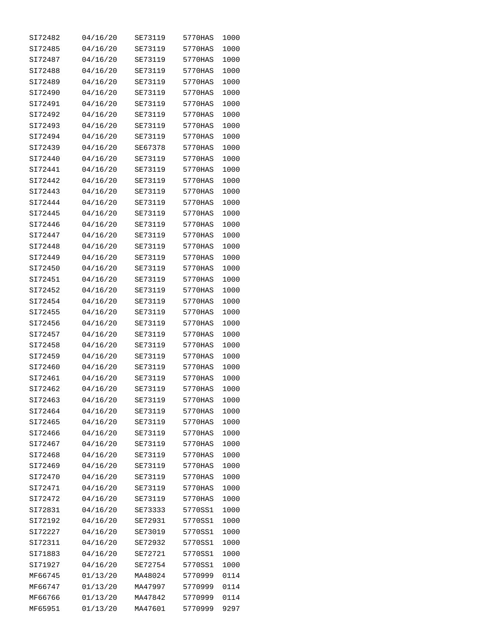| SI72482            | 04/16/20             | SE73119 | 5770HAS | 1000         |
|--------------------|----------------------|---------|---------|--------------|
| SI72485            | 04/16/20             | SE73119 | 5770HAS | 1000         |
| SI72487            | 04/16/20             | SE73119 | 5770HAS | 1000         |
| SI72488            | 04/16/20             | SE73119 | 5770HAS | 1000         |
| SI72489            | 04/16/20             | SE73119 | 5770HAS | 1000         |
| SI72490            | 04/16/20             | SE73119 | 5770HAS | 1000         |
| SI72491            | 04/16/20             | SE73119 | 5770HAS | 1000         |
| SI72492            | 04/16/20             | SE73119 | 5770HAS | 1000         |
| SI72493            | 04/16/20             | SE73119 | 5770HAS | 1000         |
| SI72494            | 04/16/20             | SE73119 | 5770HAS | 1000         |
| SI72439            | 04/16/20             | SE67378 | 5770HAS | 1000         |
| SI72440            | 04/16/20             | SE73119 | 5770HAS | 1000         |
| SI72441            | 04/16/20             | SE73119 | 5770HAS | 1000         |
| SI72442            | 04/16/20             | SE73119 | 5770HAS | 1000         |
| SI72443            | 04/16/20             | SE73119 | 5770HAS | 1000         |
| SI72444            | 04/16/20             | SE73119 | 5770HAS | 1000         |
| SI72445            | 04/16/20             | SE73119 | 5770HAS | 1000         |
| SI72446            | 04/16/20             | SE73119 | 5770HAS | 1000         |
| SI72447            | 04/16/20             | SE73119 | 5770HAS | 1000         |
| SI72448            | 04/16/20             | SE73119 | 5770HAS | 1000         |
| SI72449            | 04/16/20             | SE73119 | 5770HAS | 1000         |
| SI72450            | 04/16/20             | SE73119 | 5770HAS | 1000         |
| SI72451            | 04/16/20             | SE73119 | 5770HAS | 1000         |
| SI72452            | 04/16/20             | SE73119 | 5770HAS | 1000         |
| SI72454            | 04/16/20             | SE73119 | 5770HAS | 1000         |
| SI72455            | 04/16/20             | SE73119 | 5770HAS | 1000         |
| SI72456            | 04/16/20             | SE73119 | 5770HAS | 1000         |
| SI72457            | 04/16/20             | SE73119 | 5770HAS | 1000         |
| SI72458            | 04/16/20             | SE73119 | 5770HAS | 1000         |
| SI72459            | 04/16/20             | SE73119 | 5770HAS | 1000         |
| SI72460            | 04/16/20             | SE73119 | 5770HAS | 1000         |
| SI72461            | 04/16/20             | SE73119 | 5770HAS | 1000         |
| SI72462            | 04/16/20             | SE73119 | 5770HAS | 1000         |
| SI72463            | 04/16/20             | SE73119 | 5770HAS |              |
|                    |                      | SE73119 | 5770HAS | 1000         |
| SI72464<br>SI72465 | 04/16/20<br>04/16/20 | SE73119 | 5770HAS | 1000<br>1000 |
|                    |                      |         | 5770HAS |              |
| SI72466            | 04/16/20             | SE73119 |         | 1000         |
| SI72467            | 04/16/20             | SE73119 | 5770HAS | 1000         |
| SI72468            | 04/16/20             | SE73119 | 5770HAS | 1000         |
| SI72469            | 04/16/20             | SE73119 | 5770HAS | 1000         |
| SI72470            | 04/16/20             | SE73119 | 5770HAS | 1000         |
| SI72471            | 04/16/20             | SE73119 | 5770HAS | 1000         |
| SI72472            | 04/16/20             | SE73119 | 5770HAS | 1000         |
| SI72831            | 04/16/20             | SE73333 | 5770SS1 | 1000         |
| SI72192            | 04/16/20             | SE72931 | 5770SS1 | 1000         |
| SI72227            | 04/16/20             | SE73019 | 5770SS1 | 1000         |
| SI72311            | 04/16/20             | SE72932 | 5770SS1 | 1000         |
| SI71883            | 04/16/20             | SE72721 | 5770SS1 | 1000         |
| SI71927            | 04/16/20             | SE72754 | 5770SS1 | 1000         |
| MF66745            | 01/13/20             | MA48024 | 5770999 | 0114         |
| MF66747            | 01/13/20             | MA47997 | 5770999 | 0114         |
| MF66766            | 01/13/20             | MA47842 | 5770999 | 0114         |
| MF65951            | 01/13/20             | MA47601 | 5770999 | 9297         |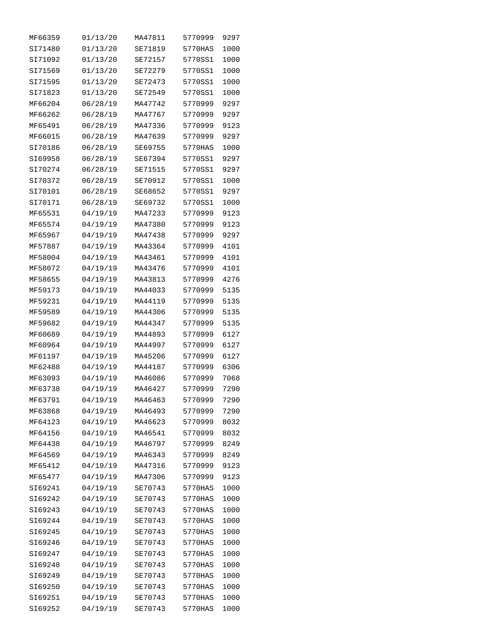| MF66359 | 01/13/20 | MA47811 | 5770999 | 9297 |
|---------|----------|---------|---------|------|
| SI71480 | 01/13/20 | SE71819 | 5770HAS | 1000 |
| SI71092 | 01/13/20 | SE72157 | 5770SS1 | 1000 |
| SI71569 | 01/13/20 | SE72279 | 5770SS1 | 1000 |
| SI71595 | 01/13/20 | SE72473 | 5770SS1 | 1000 |
| SI71823 | 01/13/20 | SE72549 | 5770SS1 | 1000 |
| MF66204 | 06/28/19 | MA47742 | 5770999 | 9297 |
| MF66262 | 06/28/19 | MA47767 | 5770999 | 9297 |
| MF65491 | 06/28/19 | MA47336 | 5770999 | 9123 |
| MF66015 | 06/28/19 | MA47639 | 5770999 | 9297 |
| SI70186 | 06/28/19 | SE69755 | 5770HAS | 1000 |
| SI69958 | 06/28/19 | SE67394 | 5770SS1 | 9297 |
| SI70274 | 06/28/19 | SE71515 | 5770SS1 | 9297 |
| SI70372 | 06/28/19 | SE70912 | 5770SS1 | 1000 |
| SI70101 | 06/28/19 | SE68652 | 5770SS1 | 9297 |
| SI70171 | 06/28/19 | SE69732 | 5770SS1 | 1000 |
| MF65531 | 04/19/19 | MA47233 | 5770999 | 9123 |
| MF65574 | 04/19/19 | MA47380 | 5770999 | 9123 |
| MF65967 | 04/19/19 | MA47438 | 5770999 | 9297 |
| MF57887 | 04/19/19 | MA43364 | 5770999 | 4101 |
| MF58004 | 04/19/19 | MA43461 | 5770999 | 4101 |
| MF58072 | 04/19/19 | MA43476 | 5770999 | 4101 |
| MF58655 | 04/19/19 | MA43813 | 5770999 | 4276 |
| MF59173 | 04/19/19 | MA44033 | 5770999 | 5135 |
| MF59231 | 04/19/19 | MA44119 | 5770999 | 5135 |
| MF59589 | 04/19/19 | MA44306 | 5770999 | 5135 |
| MF59682 | 04/19/19 | MA44347 | 5770999 | 5135 |
| MF60689 | 04/19/19 | MA44893 | 5770999 | 6127 |
| MF60964 | 04/19/19 | MA44997 | 5770999 | 6127 |
| MF61197 | 04/19/19 | MA45206 | 5770999 | 6127 |
| MF62488 | 04/19/19 | MA44187 | 5770999 | 6306 |
| MF63093 | 04/19/19 | MA46086 | 5770999 | 7068 |
| MF63738 | 04/19/19 | MA46427 | 5770999 | 7290 |
| MF63791 | 04/19/19 | MA46463 | 5770999 | 7290 |
| MF63868 | 04/19/19 | MA46493 | 5770999 | 7290 |
| MF64123 | 04/19/19 | MA46623 | 5770999 | 8032 |
| MF64156 | 04/19/19 | MA46541 | 5770999 | 8032 |
| MF64438 | 04/19/19 | MA46797 | 5770999 | 8249 |
| MF64569 | 04/19/19 | MA46343 | 5770999 | 8249 |
| MF65412 | 04/19/19 | MA47316 | 5770999 | 9123 |
| MF65477 | 04/19/19 | MA47306 | 5770999 | 9123 |
| SI69241 | 04/19/19 | SE70743 | 5770HAS | 1000 |
| SI69242 | 04/19/19 | SE70743 | 5770HAS | 1000 |
| SI69243 | 04/19/19 | SE70743 | 5770HAS | 1000 |
| SI69244 | 04/19/19 | SE70743 | 5770HAS | 1000 |
| SI69245 | 04/19/19 | SE70743 | 5770HAS | 1000 |
| SI69246 | 04/19/19 | SE70743 | 5770HAS | 1000 |
| SI69247 | 04/19/19 | SE70743 | 5770HAS | 1000 |
| SI69248 | 04/19/19 | SE70743 | 5770HAS | 1000 |
| SI69249 | 04/19/19 | SE70743 | 5770HAS | 1000 |
| SI69250 | 04/19/19 | SE70743 | 5770HAS | 1000 |
| SI69251 | 04/19/19 | SE70743 | 5770HAS | 1000 |
| SI69252 | 04/19/19 | SE70743 | 5770HAS | 1000 |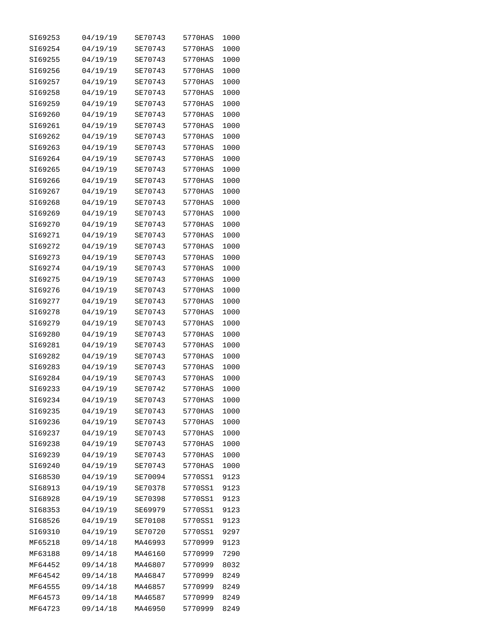| SI69253 | 04/19/19             | SE70743            | 5770HAS | 1000 |
|---------|----------------------|--------------------|---------|------|
| SI69254 | 04/19/19             | SE70743            | 5770HAS | 1000 |
| SI69255 | 04/19/19             | SE70743            | 5770HAS | 1000 |
| SI69256 | 04/19/19             | SE70743            | 5770HAS | 1000 |
| SI69257 | 04/19/19             | SE70743            | 5770HAS | 1000 |
| SI69258 | 04/19/19             | SE70743            | 5770HAS | 1000 |
| SI69259 | 04/19/19             | SE70743            | 5770HAS | 1000 |
| SI69260 | 04/19/19             | SE70743            | 5770HAS | 1000 |
| SI69261 | 04/19/19             | SE70743            | 5770HAS | 1000 |
| SI69262 | 04/19/19             | SE70743            | 5770HAS | 1000 |
| SI69263 | 04/19/19             | SE70743            | 5770HAS | 1000 |
| SI69264 | 04/19/19             | SE70743            | 5770HAS | 1000 |
| SI69265 | 04/19/19             | SE70743            | 5770HAS | 1000 |
| SI69266 | 04/19/19             | SE70743            | 5770HAS | 1000 |
| SI69267 | 04/19/19             | SE70743            | 5770HAS | 1000 |
| SI69268 | 04/19/19             | SE70743            | 5770HAS | 1000 |
| SI69269 | 04/19/19             | SE70743            | 5770HAS | 1000 |
| SI69270 | 04/19/19             | SE70743            | 5770HAS | 1000 |
| SI69271 | 04/19/19             | SE70743            | 5770HAS | 1000 |
| SI69272 | 04/19/19             | SE70743            | 5770HAS | 1000 |
| SI69273 | 04/19/19             | SE70743            | 5770HAS | 1000 |
| SI69274 | 04/19/19             | SE70743            | 5770HAS | 1000 |
| SI69275 | 04/19/19             | SE70743            | 5770HAS | 1000 |
| SI69276 | 04/19/19             | SE70743            | 5770HAS | 1000 |
| SI69277 | 04/19/19             | SE70743            | 5770HAS | 1000 |
| SI69278 | 04/19/19             | SE70743            | 5770HAS | 1000 |
| SI69279 | 04/19/19             | SE70743            | 5770HAS | 1000 |
| SI69280 | 04/19/19             | SE70743            | 5770HAS | 1000 |
| SI69281 | 04/19/19             | SE70743            | 5770HAS | 1000 |
| SI69282 | 04/19/19             | SE70743            | 5770HAS | 1000 |
| SI69283 | 04/19/19             | SE70743            | 5770HAS | 1000 |
| SI69284 | 04/19/19             | SE70743            | 5770HAS | 1000 |
| SI69233 |                      | SE70742            | 5770HAS | 1000 |
| SI69234 | 04/19/19<br>04/19/19 | SE70743            | 5770HAS | 1000 |
|         |                      |                    | 5770HAS |      |
| SI69235 | 04/19/19             | SE70743<br>SE70743 |         | 1000 |
| SI69236 | 04/19/19             |                    | 5770HAS | 1000 |
| SI69237 | 04/19/19             | SE70743            | 5770HAS | 1000 |
| SI69238 | 04/19/19             | SE70743            | 5770HAS | 1000 |
| SI69239 | 04/19/19             | SE70743            | 5770HAS | 1000 |
| SI69240 | 04/19/19             | SE70743            | 5770HAS | 1000 |
| SI68530 | 04/19/19             | SE70094            | 5770SS1 | 9123 |
| SI68913 | 04/19/19             | SE70378            | 5770SS1 | 9123 |
| SI68928 | 04/19/19             | SE70398            | 5770SS1 | 9123 |
| SI68353 | 04/19/19             | SE69979            | 5770SS1 | 9123 |
| SI68526 | 04/19/19             | SE70108            | 5770SS1 | 9123 |
| SI69310 | 04/19/19             | SE70720            | 5770SS1 | 9297 |
| MF65218 | 09/14/18             | MA46993            | 5770999 | 9123 |
| MF63188 | 09/14/18             | MA46160            | 5770999 | 7290 |
| MF64452 | 09/14/18             | MA46807            | 5770999 | 8032 |
| MF64542 | 09/14/18             | MA46847            | 5770999 | 8249 |
| MF64555 | 09/14/18             | MA46857            | 5770999 | 8249 |
| MF64573 | 09/14/18             | MA46587            | 5770999 | 8249 |
| MF64723 | 09/14/18             | MA46950            | 5770999 | 8249 |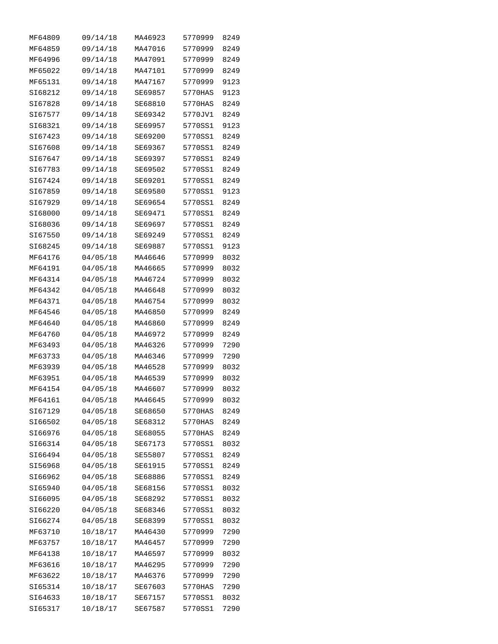| MF64809            | 09/14/18             | MA46923            | 5770999            | 8249         |
|--------------------|----------------------|--------------------|--------------------|--------------|
| MF64859            | 09/14/18             | MA47016            | 5770999            | 8249         |
| MF64996            | 09/14/18             | MA47091            | 5770999            | 8249         |
| MF65022            | 09/14/18             | MA47101            | 5770999            | 8249         |
| MF65131            | 09/14/18             | MA47167            | 5770999            | 9123         |
| SI68212            | 09/14/18             | SE69857            | 5770HAS            | 9123         |
| SI67828            | 09/14/18             | SE68810            | 5770HAS            | 8249         |
| SI67577            | 09/14/18             | SE69342            | 5770JV1            | 8249         |
| SI68321            | 09/14/18             | SE69957            | 5770SS1            | 9123         |
| SI67423            | 09/14/18             | SE69200            | 5770SS1            | 8249         |
| SI67608            | 09/14/18             | SE69367            | 5770SS1            | 8249         |
| SI67647            | 09/14/18             | SE69397            | 5770SS1            | 8249         |
| SI67783            | 09/14/18             | SE69502            | 5770SS1            | 8249         |
| SI67424            | 09/14/18             | SE69201            | 5770SS1            | 8249         |
| SI67859            | 09/14/18             | SE69580            | 5770SS1            | 9123         |
| SI67929            | 09/14/18             | SE69654            | 5770SS1            | 8249         |
| SI68000            | 09/14/18             | SE69471            | 5770SS1            | 8249         |
| SI68036            | 09/14/18             | SE69697            | 5770SS1            | 8249         |
| SI67550            | 09/14/18             | SE69249            | 5770SS1            | 8249         |
| SI68245            |                      |                    |                    |              |
|                    | 09/14/18             | SE69887<br>MA46646 | 5770SS1<br>5770999 | 9123         |
| MF64176            | 04/05/18             |                    |                    | 8032         |
| MF64191            | 04/05/18             | MA46665            | 5770999            | 8032         |
| MF64314            | 04/05/18             | MA46724            | 5770999            | 8032         |
| MF64342            | 04/05/18             | MA46648            | 5770999            | 8032         |
| MF64371            | 04/05/18             | MA46754            | 5770999            | 8032         |
| MF64546<br>MF64640 | 04/05/18             | MA46850<br>MA46860 | 5770999<br>5770999 | 8249         |
| MF64760            | 04/05/18<br>04/05/18 | MA46972            | 5770999            | 8249<br>8249 |
| MF63493            | 04/05/18             | MA46326            | 5770999            | 7290         |
| MF63733            | 04/05/18             | MA46346            | 5770999            | 7290         |
| MF63939            |                      |                    |                    |              |
|                    | 04/05/18             | MA46528            | 5770999            | 8032         |
| MF63951            | 04/05/18             | MA46539            | 5770999            | 8032         |
| MF64154            | 04/05/18             | MA46607            | 5770999            | 8032         |
| MF64161            | 04/05/18             | MA46645            | 5770999            | 8032         |
| SI67129            | 04/05/18             | SE68650            | 5770HAS            | 8249         |
| SI66502            | 04/05/18             | SE68312            | 5770HAS            | 8249         |
| SI66976            | 04/05/18             | SE68055            | 5770HAS            | 8249         |
| SI66314            | 04/05/18             | SE67173            | 5770SS1            | 8032         |
| SI66494            | 04/05/18             | SE55807            | 5770SS1            | 8249         |
| SI56968            | 04/05/18             | SE61915            | 5770SS1            | 8249         |
| SI66962            | 04/05/18             | SE68886            | 5770SS1            | 8249         |
| SI65940            | 04/05/18             | SE68156            | 5770SS1            | 8032         |
| SI66095            | 04/05/18             | SE68292            | 5770SS1            | 8032         |
| SI66220            | 04/05/18             | SE68346            | 5770SS1            | 8032         |
| SI66274            | 04/05/18             | SE68399            | 5770SS1            | 8032         |
| MF63710            | 10/18/17             | MA46430            | 5770999            | 7290         |
| MF63757            | 10/18/17             | MA46457            | 5770999            | 7290         |
| MF64138            | 10/18/17             | MA46597            | 5770999            | 8032         |
| MF63616            | 10/18/17             | MA46295            | 5770999            | 7290         |
| MF63622            | 10/18/17             | MA46376            | 5770999            | 7290         |
| SI65314            | 10/18/17             | SE67603            | 5770HAS            | 7290         |
| SI64633            | 10/18/17             | SE67157            | 5770SS1            | 8032         |
| SI65317            | 10/18/17             | SE67587            | 5770SS1            | 7290         |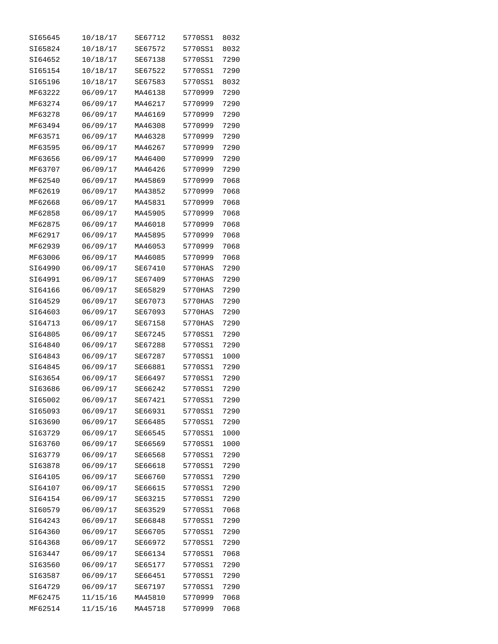| SI65645 | 10/18/17 | SE67712 | 5770SS1 | 8032 |
|---------|----------|---------|---------|------|
| SI65824 | 10/18/17 | SE67572 | 5770SS1 | 8032 |
| SI64652 | 10/18/17 | SE67138 | 5770SS1 | 7290 |
| SI65154 | 10/18/17 | SE67522 | 5770SS1 | 7290 |
| SI65196 | 10/18/17 | SE67583 | 5770SS1 | 8032 |
| MF63222 | 06/09/17 | MA46138 | 5770999 | 7290 |
| MF63274 | 06/09/17 | MA46217 | 5770999 | 7290 |
| MF63278 | 06/09/17 | MA46169 | 5770999 | 7290 |
| MF63494 | 06/09/17 | MA46308 | 5770999 | 7290 |
| MF63571 | 06/09/17 | MA46328 | 5770999 | 7290 |
| MF63595 | 06/09/17 | MA46267 | 5770999 | 7290 |
| MF63656 | 06/09/17 | MA46400 | 5770999 | 7290 |
| MF63707 | 06/09/17 | MA46426 | 5770999 | 7290 |
| MF62540 | 06/09/17 | MA45869 | 5770999 | 7068 |
| MF62619 | 06/09/17 | MA43852 | 5770999 | 7068 |
| MF62668 | 06/09/17 | MA45831 | 5770999 | 7068 |
| MF62858 | 06/09/17 | MA45905 | 5770999 | 7068 |
| MF62875 | 06/09/17 | MA46018 | 5770999 | 7068 |
| MF62917 | 06/09/17 | MA45895 | 5770999 | 7068 |
| MF62939 | 06/09/17 | MA46053 | 5770999 | 7068 |
| MF63006 | 06/09/17 | MA46085 | 5770999 | 7068 |
| SI64990 | 06/09/17 | SE67410 | 5770HAS | 7290 |
| SI64991 | 06/09/17 | SE67409 | 5770HAS | 7290 |
| SI64166 | 06/09/17 | SE65829 | 5770HAS | 7290 |
| SI64529 | 06/09/17 | SE67073 | 5770HAS | 7290 |
| SI64603 | 06/09/17 | SE67093 | 5770HAS | 7290 |
| SI64713 | 06/09/17 | SE67158 | 5770HAS | 7290 |
| SI64805 | 06/09/17 | SE67245 | 5770SS1 | 7290 |
| SI64840 | 06/09/17 | SE67288 | 5770SS1 | 7290 |
| SI64843 | 06/09/17 | SE67287 | 5770SS1 | 1000 |
| SI64845 | 06/09/17 | SE66881 | 5770SS1 | 7290 |
| SI63654 | 06/09/17 | SE66497 | 5770SS1 | 7290 |
| SI63686 | 06/09/17 | SE66242 | 5770SS1 | 7290 |
| SI65002 | 06/09/17 | SE67421 | 5770SS1 | 7290 |
| SI65093 | 06/09/17 | SE66931 | 5770SS1 | 7290 |
| SI63690 | 06/09/17 | SE66485 | 5770SS1 | 7290 |
| SI63729 | 06/09/17 | SE66545 | 5770SS1 | 1000 |
| SI63760 | 06/09/17 | SE66569 | 5770SS1 | 1000 |
| SI63779 | 06/09/17 | SE66568 | 5770SS1 | 7290 |
| SI63878 | 06/09/17 | SE66618 | 5770SS1 | 7290 |
| SI64105 | 06/09/17 | SE66760 | 5770SS1 | 7290 |
| SI64107 | 06/09/17 | SE66615 | 5770SS1 | 7290 |
| SI64154 | 06/09/17 | SE63215 | 5770SS1 | 7290 |
| SI60579 | 06/09/17 | SE63529 | 5770SS1 | 7068 |
| SI64243 | 06/09/17 | SE66848 | 5770SS1 | 7290 |
| SI64360 | 06/09/17 | SE66705 | 5770SS1 | 7290 |
| SI64368 | 06/09/17 | SE66972 | 5770SS1 | 7290 |
| SI63447 | 06/09/17 | SE66134 | 5770SS1 | 7068 |
| SI63560 | 06/09/17 | SE65177 | 5770SS1 | 7290 |
| SI63587 | 06/09/17 | SE66451 | 5770SS1 | 7290 |
| SI64729 | 06/09/17 | SE67197 | 5770SS1 | 7290 |
| MF62475 | 11/15/16 | MA45810 | 5770999 | 7068 |
| MF62514 | 11/15/16 | MA45718 | 5770999 | 7068 |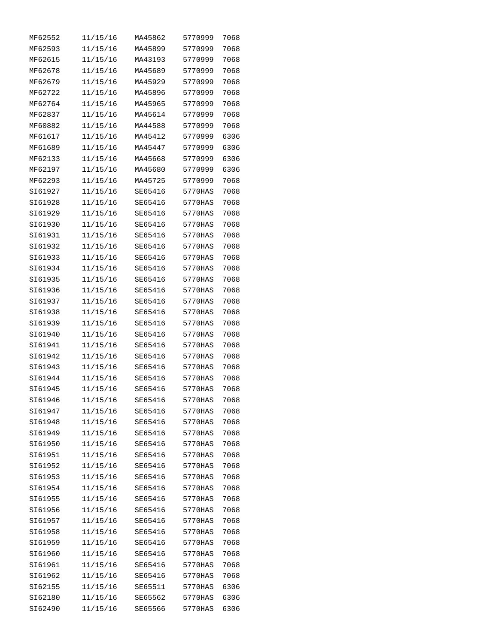| MF62552 | 11/15/16 | MA45862 | 5770999 | 7068 |
|---------|----------|---------|---------|------|
| MF62593 | 11/15/16 | MA45899 | 5770999 | 7068 |
| MF62615 | 11/15/16 | MA43193 | 5770999 | 7068 |
| MF62678 | 11/15/16 | MA45689 | 5770999 | 7068 |
| MF62679 | 11/15/16 | MA45929 | 5770999 | 7068 |
| MF62722 | 11/15/16 | MA45896 | 5770999 | 7068 |
| MF62764 | 11/15/16 | MA45965 | 5770999 | 7068 |
| MF62837 | 11/15/16 | MA45614 | 5770999 | 7068 |
| MF60882 | 11/15/16 | MA44588 | 5770999 | 7068 |
| MF61617 | 11/15/16 | MA45412 | 5770999 | 6306 |
| MF61689 | 11/15/16 | MA45447 | 5770999 | 6306 |
| MF62133 | 11/15/16 | MA45668 | 5770999 | 6306 |
| MF62197 | 11/15/16 | MA45680 | 5770999 | 6306 |
| MF62293 | 11/15/16 | MA45725 | 5770999 | 7068 |
| SI61927 | 11/15/16 | SE65416 | 5770HAS | 7068 |
| SI61928 | 11/15/16 | SE65416 | 5770HAS | 7068 |
| SI61929 | 11/15/16 | SE65416 | 5770HAS | 7068 |
| SI61930 | 11/15/16 | SE65416 | 5770HAS | 7068 |
| SI61931 | 11/15/16 | SE65416 | 5770HAS | 7068 |
| SI61932 | 11/15/16 | SE65416 | 5770HAS | 7068 |
| SI61933 | 11/15/16 | SE65416 | 5770HAS | 7068 |
| SI61934 | 11/15/16 | SE65416 | 5770HAS | 7068 |
| SI61935 | 11/15/16 | SE65416 | 5770HAS | 7068 |
| SI61936 | 11/15/16 | SE65416 | 5770HAS | 7068 |
| SI61937 | 11/15/16 | SE65416 | 5770HAS | 7068 |
| SI61938 | 11/15/16 | SE65416 | 5770HAS | 7068 |
| SI61939 | 11/15/16 | SE65416 | 5770HAS | 7068 |
| SI61940 | 11/15/16 | SE65416 | 5770HAS | 7068 |
| SI61941 | 11/15/16 | SE65416 | 5770HAS | 7068 |
| SI61942 | 11/15/16 | SE65416 | 5770HAS | 7068 |
| SI61943 | 11/15/16 | SE65416 | 5770HAS | 7068 |
| SI61944 | 11/15/16 | SE65416 | 5770HAS | 7068 |
| SI61945 | 11/15/16 | SE65416 | 5770HAS | 7068 |
| SI61946 | 11/15/16 | SE65416 | 5770HAS | 7068 |
| SI61947 | 11/15/16 | SE65416 | 5770HAS | 7068 |
| SI61948 | 11/15/16 | SE65416 | 5770HAS | 7068 |
| SI61949 | 11/15/16 | SE65416 | 5770HAS | 7068 |
| SI61950 | 11/15/16 | SE65416 | 5770HAS | 7068 |
| SI61951 | 11/15/16 | SE65416 | 5770HAS | 7068 |
| SI61952 | 11/15/16 | SE65416 | 5770HAS | 7068 |
| SI61953 | 11/15/16 | SE65416 | 5770HAS | 7068 |
| SI61954 | 11/15/16 | SE65416 | 5770HAS | 7068 |
| SI61955 | 11/15/16 | SE65416 | 5770HAS | 7068 |
| SI61956 | 11/15/16 | SE65416 | 5770HAS | 7068 |
| SI61957 | 11/15/16 | SE65416 | 5770HAS | 7068 |
| SI61958 | 11/15/16 | SE65416 | 5770HAS | 7068 |
| SI61959 | 11/15/16 | SE65416 | 5770HAS | 7068 |
| SI61960 | 11/15/16 | SE65416 | 5770HAS | 7068 |
| SI61961 | 11/15/16 | SE65416 | 5770HAS | 7068 |
| SI61962 | 11/15/16 | SE65416 | 5770HAS | 7068 |
| SI62155 | 11/15/16 | SE65511 | 5770HAS | 6306 |
| SI62180 | 11/15/16 | SE65562 | 5770HAS | 6306 |
| SI62490 | 11/15/16 | SE65566 | 5770HAS | 6306 |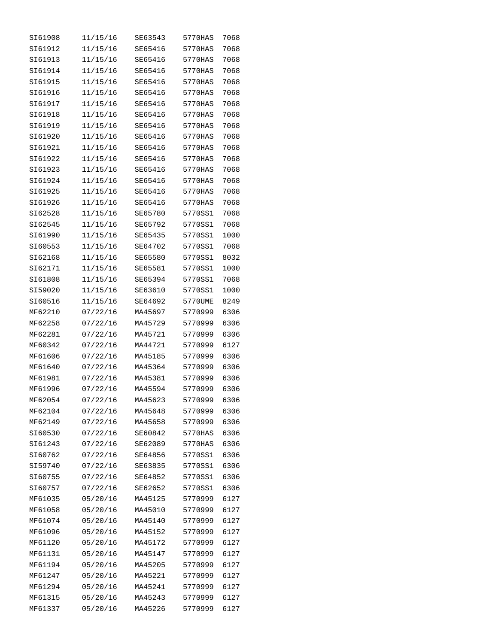| SI61908 | 11/15/16 | SE63543 | 5770HAS | 7068 |
|---------|----------|---------|---------|------|
| SI61912 | 11/15/16 | SE65416 | 5770HAS | 7068 |
| SI61913 | 11/15/16 | SE65416 | 5770HAS | 7068 |
| SI61914 | 11/15/16 | SE65416 | 5770HAS | 7068 |
| SI61915 | 11/15/16 | SE65416 | 5770HAS | 7068 |
| SI61916 | 11/15/16 | SE65416 | 5770HAS | 7068 |
| SI61917 | 11/15/16 | SE65416 | 5770HAS | 7068 |
| SI61918 | 11/15/16 | SE65416 | 5770HAS | 7068 |
| SI61919 | 11/15/16 | SE65416 | 5770HAS | 7068 |
| SI61920 | 11/15/16 | SE65416 | 5770HAS | 7068 |
| SI61921 | 11/15/16 | SE65416 | 5770HAS | 7068 |
| SI61922 | 11/15/16 | SE65416 | 5770HAS | 7068 |
| SI61923 | 11/15/16 | SE65416 | 5770HAS | 7068 |
| SI61924 | 11/15/16 | SE65416 | 5770HAS | 7068 |
| SI61925 | 11/15/16 | SE65416 | 5770HAS | 7068 |
| SI61926 | 11/15/16 | SE65416 | 5770HAS | 7068 |
| SI62528 | 11/15/16 | SE65780 | 5770SS1 | 7068 |
| SI62545 | 11/15/16 | SE65792 | 5770SS1 | 7068 |
| SI61990 | 11/15/16 | SE65435 | 5770SS1 | 1000 |
| SI60553 | 11/15/16 | SE64702 | 5770SS1 | 7068 |
| SI62168 | 11/15/16 | SE65580 | 5770SS1 | 8032 |
| SI62171 | 11/15/16 | SE65581 | 5770SS1 | 1000 |
| SI61808 | 11/15/16 | SE65394 | 5770SS1 | 7068 |
| SI59020 | 11/15/16 | SE63610 | 5770SS1 | 1000 |
| SI60516 | 11/15/16 | SE64692 | 5770UME | 8249 |
| MF62210 | 07/22/16 | MA45697 | 5770999 | 6306 |
| MF62258 | 07/22/16 | MA45729 | 5770999 | 6306 |
| MF62281 | 07/22/16 | MA45721 | 5770999 | 6306 |
| MF60342 | 07/22/16 | MA44721 | 5770999 | 6127 |
| MF61606 | 07/22/16 | MA45185 | 5770999 | 6306 |
| MF61640 | 07/22/16 | MA45364 | 5770999 | 6306 |
| MF61981 | 07/22/16 | MA45381 | 5770999 | 6306 |
| MF61996 | 07/22/16 | MA45594 | 5770999 | 6306 |
| MF62054 | 07/22/16 | MA45623 | 5770999 | 6306 |
| MF62104 | 07/22/16 | MA45648 | 5770999 | 6306 |
| MF62149 | 07/22/16 | MA45658 | 5770999 | 6306 |
| SI60530 | 07/22/16 | SE60842 | 5770HAS | 6306 |
| SI61243 | 07/22/16 | SE62089 | 5770HAS | 6306 |
| SI60762 | 07/22/16 | SE64856 | 5770SS1 | 6306 |
| SI59740 | 07/22/16 | SE63835 | 5770SS1 | 6306 |
| SI60755 | 07/22/16 | SE64852 | 5770SS1 | 6306 |
| SI60757 | 07/22/16 | SE62652 | 5770SS1 | 6306 |
| MF61035 | 05/20/16 | MA45125 | 5770999 | 6127 |
| MF61058 | 05/20/16 | MA45010 | 5770999 | 6127 |
| MF61074 | 05/20/16 | MA45140 | 5770999 | 6127 |
| MF61096 | 05/20/16 | MA45152 | 5770999 | 6127 |
| MF61120 | 05/20/16 | MA45172 | 5770999 | 6127 |
| MF61131 | 05/20/16 | MA45147 | 5770999 | 6127 |
| MF61194 | 05/20/16 | MA45205 | 5770999 | 6127 |
| MF61247 | 05/20/16 | MA45221 | 5770999 | 6127 |
| MF61294 | 05/20/16 | MA45241 | 5770999 | 6127 |
| MF61315 | 05/20/16 | MA45243 | 5770999 | 6127 |
| MF61337 | 05/20/16 | MA45226 | 5770999 | 6127 |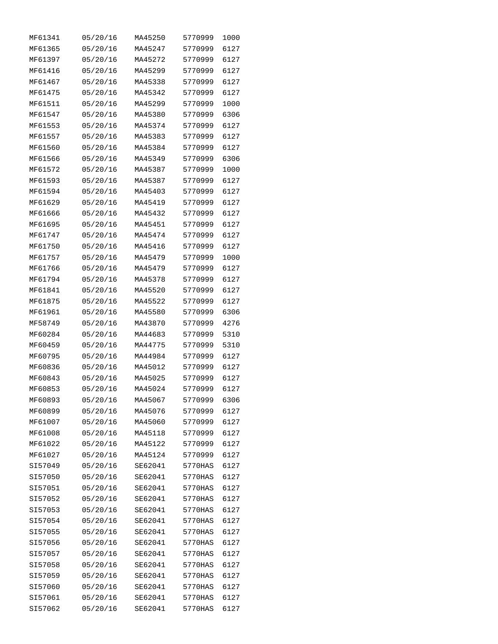| MF61341 | 05/20/16 | MA45250 | 5770999 | 1000 |
|---------|----------|---------|---------|------|
| MF61365 | 05/20/16 | MA45247 | 5770999 | 6127 |
| MF61397 | 05/20/16 | MA45272 | 5770999 | 6127 |
| MF61416 | 05/20/16 | MA45299 | 5770999 | 6127 |
| MF61467 | 05/20/16 | MA45338 | 5770999 | 6127 |
| MF61475 | 05/20/16 | MA45342 | 5770999 | 6127 |
| MF61511 | 05/20/16 | MA45299 | 5770999 | 1000 |
| MF61547 | 05/20/16 | MA45380 | 5770999 | 6306 |
| MF61553 | 05/20/16 | MA45374 | 5770999 | 6127 |
| MF61557 | 05/20/16 | MA45383 | 5770999 | 6127 |
| MF61560 | 05/20/16 | MA45384 | 5770999 | 6127 |
| MF61566 | 05/20/16 | MA45349 | 5770999 | 6306 |
| MF61572 | 05/20/16 | MA45387 | 5770999 | 1000 |
| MF61593 | 05/20/16 | MA45387 | 5770999 | 6127 |
| MF61594 | 05/20/16 | MA45403 | 5770999 | 6127 |
| MF61629 | 05/20/16 | MA45419 | 5770999 | 6127 |
| MF61666 | 05/20/16 | MA45432 | 5770999 | 6127 |
| MF61695 | 05/20/16 | MA45451 | 5770999 | 6127 |
| MF61747 | 05/20/16 | MA45474 | 5770999 | 6127 |
| MF61750 | 05/20/16 | MA45416 | 5770999 | 6127 |
| MF61757 | 05/20/16 | MA45479 | 5770999 | 1000 |
| MF61766 | 05/20/16 | MA45479 | 5770999 | 6127 |
| MF61794 | 05/20/16 | MA45378 | 5770999 | 6127 |
| MF61841 | 05/20/16 | MA45520 | 5770999 | 6127 |
| MF61875 | 05/20/16 | MA45522 | 5770999 | 6127 |
| MF61961 | 05/20/16 | MA45580 | 5770999 | 6306 |
| MF58749 | 05/20/16 | MA43870 | 5770999 | 4276 |
| MF60284 | 05/20/16 | MA44683 | 5770999 | 5310 |
| MF60459 | 05/20/16 | MA44775 | 5770999 | 5310 |
| MF60795 | 05/20/16 | MA44984 | 5770999 | 6127 |
| MF60836 | 05/20/16 | MA45012 | 5770999 | 6127 |
| MF60843 | 05/20/16 | MA45025 | 5770999 | 6127 |
| MF60853 | 05/20/16 | MA45024 | 5770999 | 6127 |
| MF60893 | 05/20/16 | MA45067 | 5770999 | 6306 |
| MF60899 | 05/20/16 | MA45076 | 5770999 | 6127 |
| MF61007 | 05/20/16 | MA45060 | 5770999 | 6127 |
| MF61008 | 05/20/16 | MA45118 | 5770999 | 6127 |
| MF61022 | 05/20/16 | MA45122 | 5770999 | 6127 |
| MF61027 | 05/20/16 | MA45124 | 5770999 | 6127 |
| SI57049 | 05/20/16 | SE62041 | 5770HAS | 6127 |
| SI57050 | 05/20/16 | SE62041 | 5770HAS | 6127 |
| SI57051 | 05/20/16 | SE62041 | 5770HAS | 6127 |
| SI57052 | 05/20/16 | SE62041 | 5770HAS | 6127 |
| SI57053 | 05/20/16 | SE62041 | 5770HAS | 6127 |
| SI57054 | 05/20/16 | SE62041 | 5770HAS | 6127 |
| SI57055 | 05/20/16 | SE62041 | 5770HAS | 6127 |
| SI57056 | 05/20/16 | SE62041 | 5770HAS | 6127 |
| SI57057 | 05/20/16 | SE62041 | 5770HAS | 6127 |
| SI57058 | 05/20/16 | SE62041 | 5770HAS | 6127 |
| SI57059 | 05/20/16 | SE62041 | 5770HAS | 6127 |
| SI57060 | 05/20/16 | SE62041 | 5770HAS | 6127 |
| SI57061 | 05/20/16 | SE62041 | 5770HAS | 6127 |
| SI57062 | 05/20/16 | SE62041 | 5770HAS | 6127 |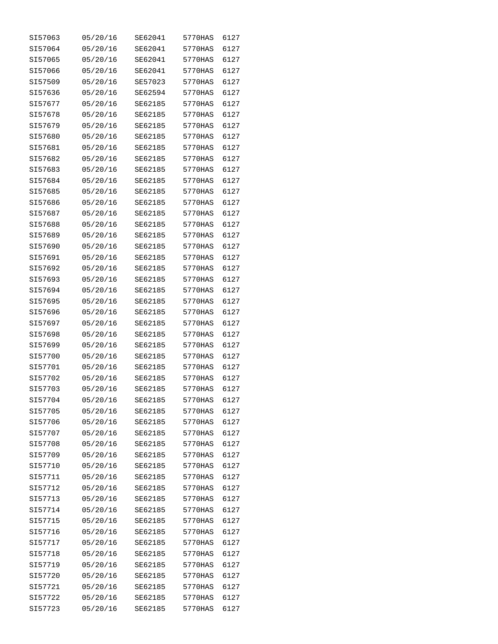| SI57063 | 05/20/16 | SE62041 | 5770HAS | 6127 |
|---------|----------|---------|---------|------|
| SI57064 | 05/20/16 | SE62041 | 5770HAS | 6127 |
| SI57065 | 05/20/16 | SE62041 | 5770HAS | 6127 |
| SI57066 | 05/20/16 | SE62041 | 5770HAS | 6127 |
| SI57509 | 05/20/16 | SE57023 | 5770HAS | 6127 |
| SI57636 | 05/20/16 | SE62594 | 5770HAS | 6127 |
| SI57677 | 05/20/16 | SE62185 | 5770HAS | 6127 |
| SI57678 | 05/20/16 | SE62185 | 5770HAS | 6127 |
| SI57679 | 05/20/16 | SE62185 | 5770HAS | 6127 |
| SI57680 | 05/20/16 | SE62185 | 5770HAS | 6127 |
| SI57681 | 05/20/16 | SE62185 | 5770HAS | 6127 |
| SI57682 | 05/20/16 | SE62185 | 5770HAS | 6127 |
| SI57683 | 05/20/16 | SE62185 | 5770HAS | 6127 |
| SI57684 | 05/20/16 | SE62185 | 5770HAS | 6127 |
| SI57685 | 05/20/16 | SE62185 | 5770HAS | 6127 |
| SI57686 | 05/20/16 | SE62185 | 5770HAS | 6127 |
| SI57687 | 05/20/16 | SE62185 | 5770HAS | 6127 |
| SI57688 | 05/20/16 | SE62185 | 5770HAS | 6127 |
| SI57689 | 05/20/16 | SE62185 | 5770HAS | 6127 |
| SI57690 | 05/20/16 | SE62185 | 5770HAS | 6127 |
| SI57691 | 05/20/16 | SE62185 | 5770HAS | 6127 |
| SI57692 | 05/20/16 | SE62185 | 5770HAS | 6127 |
| SI57693 | 05/20/16 | SE62185 | 5770HAS | 6127 |
| SI57694 | 05/20/16 | SE62185 | 5770HAS | 6127 |
| SI57695 | 05/20/16 | SE62185 | 5770HAS | 6127 |
| SI57696 | 05/20/16 | SE62185 | 5770HAS | 6127 |
| SI57697 | 05/20/16 | SE62185 | 5770HAS | 6127 |
| SI57698 | 05/20/16 | SE62185 | 5770HAS | 6127 |
| SI57699 | 05/20/16 | SE62185 | 5770HAS | 6127 |
| SI57700 | 05/20/16 | SE62185 | 5770HAS | 6127 |
| SI57701 | 05/20/16 | SE62185 | 5770HAS | 6127 |
| SI57702 | 05/20/16 | SE62185 | 5770HAS | 6127 |
| SI57703 | 05/20/16 | SE62185 | 5770HAS | 6127 |
| SI57704 | 05/20/16 | SE62185 | 5770HAS | 6127 |
| SI57705 | 05/20/16 | SE62185 | 5770HAS | 6127 |
| SI57706 | 05/20/16 | SE62185 | 5770HAS | 6127 |
| SI57707 | 05/20/16 | SE62185 | 5770HAS | 6127 |
| SI57708 | 05/20/16 | SE62185 | 5770HAS | 6127 |
| SI57709 | 05/20/16 | SE62185 | 5770HAS | 6127 |
| SI57710 | 05/20/16 | SE62185 | 5770HAS | 6127 |
| SI57711 | 05/20/16 | SE62185 | 5770HAS | 6127 |
| SI57712 | 05/20/16 | SE62185 | 5770HAS | 6127 |
| SI57713 | 05/20/16 | SE62185 | 5770HAS | 6127 |
| SI57714 | 05/20/16 | SE62185 | 5770HAS | 6127 |
| SI57715 | 05/20/16 | SE62185 | 5770HAS | 6127 |
| SI57716 | 05/20/16 | SE62185 | 5770HAS | 6127 |
| SI57717 | 05/20/16 | SE62185 | 5770HAS | 6127 |
| SI57718 | 05/20/16 | SE62185 | 5770HAS | 6127 |
| SI57719 | 05/20/16 | SE62185 | 5770HAS | 6127 |
| SI57720 | 05/20/16 | SE62185 | 5770HAS | 6127 |
| SI57721 | 05/20/16 | SE62185 | 5770HAS | 6127 |
| SI57722 | 05/20/16 | SE62185 | 5770HAS | 6127 |
| SI57723 | 05/20/16 | SE62185 | 5770HAS | 6127 |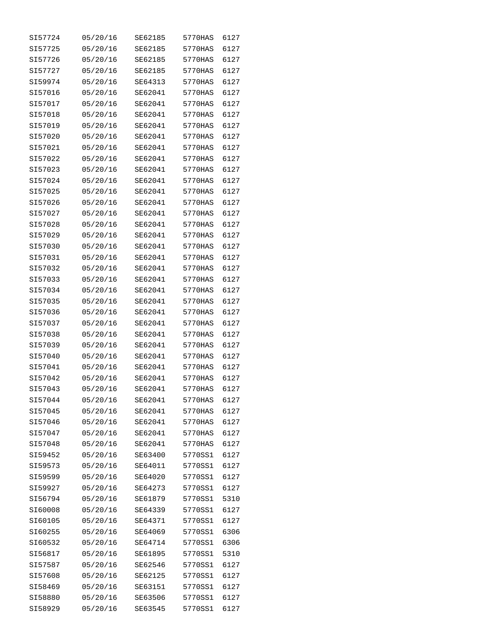| SI57724 | 05/20/16 | SE62185 | 5770HAS | 6127 |
|---------|----------|---------|---------|------|
| SI57725 | 05/20/16 | SE62185 | 5770HAS | 6127 |
| SI57726 | 05/20/16 | SE62185 | 5770HAS | 6127 |
| SI57727 | 05/20/16 | SE62185 | 5770HAS | 6127 |
| SI59974 | 05/20/16 | SE64313 | 5770HAS | 6127 |
| SI57016 | 05/20/16 | SE62041 | 5770HAS | 6127 |
| SI57017 | 05/20/16 | SE62041 | 5770HAS | 6127 |
| SI57018 | 05/20/16 | SE62041 | 5770HAS | 6127 |
| SI57019 | 05/20/16 | SE62041 | 5770HAS | 6127 |
| SI57020 | 05/20/16 | SE62041 | 5770HAS | 6127 |
| SI57021 | 05/20/16 | SE62041 | 5770HAS | 6127 |
| SI57022 | 05/20/16 | SE62041 | 5770HAS | 6127 |
| SI57023 | 05/20/16 | SE62041 | 5770HAS | 6127 |
| SI57024 | 05/20/16 | SE62041 | 5770HAS | 6127 |
| SI57025 | 05/20/16 | SE62041 | 5770HAS | 6127 |
| SI57026 | 05/20/16 | SE62041 | 5770HAS | 6127 |
| SI57027 | 05/20/16 | SE62041 | 5770HAS | 6127 |
|         | 05/20/16 | SE62041 |         |      |
| SI57028 |          |         | 5770HAS | 6127 |
| SI57029 | 05/20/16 | SE62041 | 5770HAS | 6127 |
| SI57030 | 05/20/16 | SE62041 | 5770HAS | 6127 |
| SI57031 | 05/20/16 | SE62041 | 5770HAS | 6127 |
| SI57032 | 05/20/16 | SE62041 | 5770HAS | 6127 |
| SI57033 | 05/20/16 | SE62041 | 5770HAS | 6127 |
| SI57034 | 05/20/16 | SE62041 | 5770HAS | 6127 |
| SI57035 | 05/20/16 | SE62041 | 5770HAS | 6127 |
| SI57036 | 05/20/16 | SE62041 | 5770HAS | 6127 |
| SI57037 | 05/20/16 | SE62041 | 5770HAS | 6127 |
| SI57038 | 05/20/16 | SE62041 | 5770HAS | 6127 |
| SI57039 | 05/20/16 | SE62041 | 5770HAS | 6127 |
| SI57040 | 05/20/16 | SE62041 | 5770HAS | 6127 |
| SI57041 | 05/20/16 | SE62041 | 5770HAS | 6127 |
| SI57042 | 05/20/16 | SE62041 | 5770HAS | 6127 |
| SI57043 | 05/20/16 | SE62041 | 5770HAS | 6127 |
| SI57044 | 05/20/16 | SE62041 | 5770HAS | 6127 |
| SI57045 | 05/20/16 | SE62041 | 5770HAS | 6127 |
| SI57046 | 05/20/16 | SE62041 | 5770HAS | 6127 |
| SI57047 | 05/20/16 | SE62041 | 5770HAS | 6127 |
| SI57048 | 05/20/16 | SE62041 | 5770HAS | 6127 |
| SI59452 | 05/20/16 | SE63400 | 5770SS1 | 6127 |
| SI59573 | 05/20/16 | SE64011 | 5770SS1 | 6127 |
| SI59599 | 05/20/16 | SE64020 | 5770SS1 | 6127 |
| SI59927 | 05/20/16 | SE64273 | 5770SS1 | 6127 |
| SI56794 | 05/20/16 | SE61879 | 5770SS1 | 5310 |
| SI60008 | 05/20/16 | SE64339 | 5770SS1 | 6127 |
| SI60105 | 05/20/16 | SE64371 | 5770SS1 | 6127 |
| SI60255 | 05/20/16 | SE64069 | 5770SS1 | 6306 |
| SI60532 | 05/20/16 | SE64714 | 5770SS1 | 6306 |
| SI56817 | 05/20/16 | SE61895 | 5770SS1 | 5310 |
| SI57587 | 05/20/16 | SE62546 | 5770SS1 | 6127 |
| SI57608 | 05/20/16 | SE62125 | 5770SS1 | 6127 |
| SI58469 | 05/20/16 | SE63151 | 5770SS1 | 6127 |
| SI58880 | 05/20/16 | SE63506 | 5770SS1 | 6127 |
| SI58929 | 05/20/16 | SE63545 | 5770SS1 | 6127 |
|         |          |         |         |      |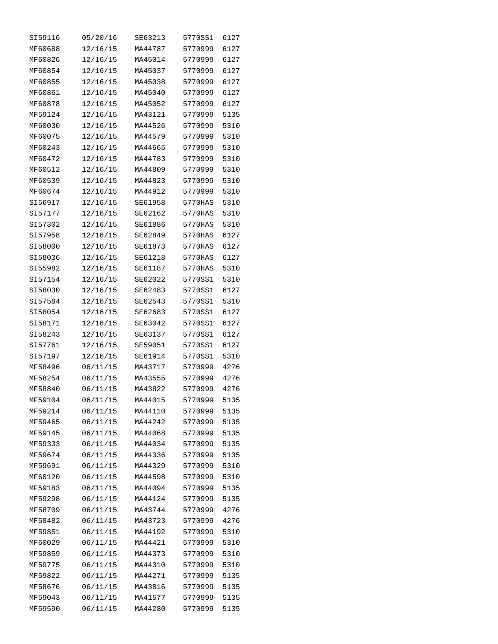| SI59116 | 05/20/16 | SE63213 | 5770SS1 | 6127 |
|---------|----------|---------|---------|------|
| MF60688 | 12/16/15 | MA44787 | 5770999 | 6127 |
| MF60826 | 12/16/15 | MA45014 | 5770999 | 6127 |
| MF60854 | 12/16/15 | MA45037 | 5770999 | 6127 |
| MF60855 | 12/16/15 | MA45038 | 5770999 | 6127 |
| MF60861 | 12/16/15 | MA45040 | 5770999 | 6127 |
| MF60878 | 12/16/15 | MA45052 | 5770999 | 6127 |
| MF59124 | 12/16/15 | MA43121 | 5770999 | 5135 |
| MF60030 | 12/16/15 | MA44526 | 5770999 | 5310 |
| MF60075 | 12/16/15 | MA44579 | 5770999 | 5310 |
| MF60243 | 12/16/15 | MA44665 | 5770999 | 5310 |
| MF60472 | 12/16/15 | MA44783 | 5770999 | 5310 |
| MF60512 | 12/16/15 | MA44809 | 5770999 | 5310 |
| MF60539 | 12/16/15 | MA44823 | 5770999 | 5310 |
| MF60674 | 12/16/15 | MA44912 | 5770999 | 5310 |
| SI56917 | 12/16/15 | SE61958 | 5770HAS | 5310 |
| SI57177 | 12/16/15 | SE62162 | 5770HAS | 5310 |
| SI57302 | 12/16/15 | SE61886 | 5770HAS | 5310 |
| SI57958 | 12/16/15 | SE62849 | 5770HAS | 6127 |
| SI58000 | 12/16/15 | SE61873 | 5770HAS |      |
|         |          |         |         | 6127 |
| SI58036 | 12/16/15 | SE61218 | 5770HAS | 6127 |
| SI55982 | 12/16/15 | SE61187 | 5770HAS | 5310 |
| SI57154 | 12/16/15 | SE62022 | 5770SS1 | 5310 |
| SI58030 | 12/16/15 | SE62483 | 5770SS1 | 6127 |
| SI57584 | 12/16/15 | SE62543 | 5770SS1 | 5310 |
| SI58054 | 12/16/15 | SE62683 | 5770SS1 | 6127 |
| SI58171 | 12/16/15 | SE63042 | 5770SS1 | 6127 |
| SI58243 | 12/16/15 | SE63137 | 5770SS1 | 6127 |
| SI57761 | 12/16/15 | SE59051 | 5770SS1 | 6127 |
| SI57197 | 12/16/15 | SE61914 | 5770SS1 | 5310 |
| MF58496 | 06/11/15 | MA43717 | 5770999 | 4276 |
| MF58254 | 06/11/15 | MA43555 | 5770999 | 4276 |
| MF58840 | 06/11/15 | MA43822 | 5770999 | 4276 |
| MF59104 | 06/11/15 | MA44015 | 5770999 | 5135 |
| MF59214 | 06/11/15 | MA44110 | 5770999 | 5135 |
| MF59465 | 06/11/15 | MA44242 | 5770999 | 5135 |
| MF59145 | 06/11/15 | MA44068 | 5770999 | 5135 |
| MF59333 | 06/11/15 | MA44034 | 5770999 | 5135 |
| MF59674 | 06/11/15 | MA44336 | 5770999 | 5135 |
| MF59691 | 06/11/15 | MA44329 | 5770999 | 5310 |
| MF60120 | 06/11/15 | MA44598 | 5770999 | 5310 |
| MF59183 | 06/11/15 | MA44094 | 5770999 | 5135 |
| MF59298 | 06/11/15 | MA44124 | 5770999 | 5135 |
| MF58709 | 06/11/15 | MA43744 | 5770999 | 4276 |
| MF58482 | 06/11/15 | MA43723 | 5770999 | 4276 |
| MF59851 | 06/11/15 | MA44192 | 5770999 | 5310 |
| MF60029 | 06/11/15 | MA44421 | 5770999 | 5310 |
| MF59859 | 06/11/15 | MA44373 | 5770999 | 5310 |
| MF59775 | 06/11/15 | MA44310 | 5770999 | 5310 |
| MF59822 | 06/11/15 | MA44271 | 5770999 | 5135 |
| MF58676 | 06/11/15 | MA43816 | 5770999 | 5135 |
| MF59043 | 06/11/15 | MA41577 | 5770999 | 5135 |
| MF59590 | 06/11/15 | MA44280 | 5770999 | 5135 |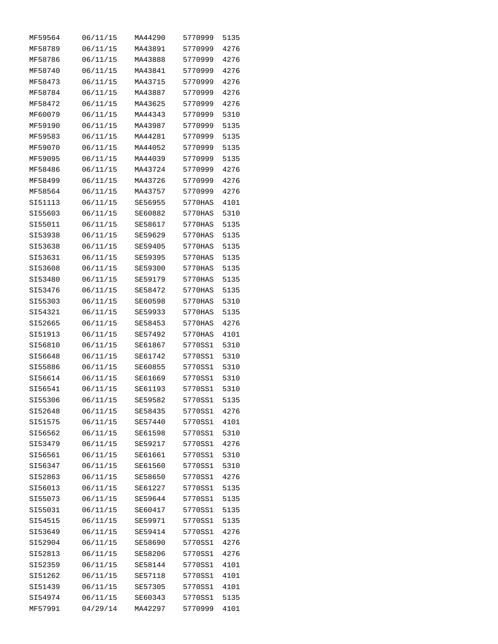| MF59564 | 06/11/15 | MA44290 | 5770999 | 5135 |
|---------|----------|---------|---------|------|
| MF58789 | 06/11/15 | MA43891 | 5770999 | 4276 |
| MF58786 | 06/11/15 | MA43888 | 5770999 | 4276 |
| MF58740 | 06/11/15 | MA43841 | 5770999 | 4276 |
| MF58473 | 06/11/15 | MA43715 | 5770999 | 4276 |
| MF58784 | 06/11/15 | MA43887 | 5770999 | 4276 |
| MF58472 | 06/11/15 | MA43625 | 5770999 | 4276 |
| MF60079 | 06/11/15 | MA44343 | 5770999 | 5310 |
| MF59190 | 06/11/15 | MA43987 | 5770999 | 5135 |
| MF59583 | 06/11/15 | MA44281 | 5770999 | 5135 |
| MF59070 | 06/11/15 | MA44052 | 5770999 | 5135 |
| MF59095 | 06/11/15 | MA44039 | 5770999 | 5135 |
| MF58486 | 06/11/15 | MA43724 | 5770999 | 4276 |
| MF58499 | 06/11/15 | MA43726 | 5770999 | 4276 |
| MF58564 | 06/11/15 | MA43757 | 5770999 | 4276 |
| SI51113 | 06/11/15 | SE56955 | 5770HAS | 4101 |
| SI55603 | 06/11/15 | SE60882 | 5770HAS | 5310 |
| SI55011 | 06/11/15 | SE58617 | 5770HAS | 5135 |
| SI53938 | 06/11/15 | SE59629 | 5770HAS | 5135 |
| SI53638 | 06/11/15 | SE59405 | 5770HAS | 5135 |
| SI53631 |          | SE59395 |         |      |
|         | 06/11/15 |         | 5770HAS | 5135 |
| SI53608 | 06/11/15 | SE59300 | 5770HAS | 5135 |
| SI53480 | 06/11/15 | SE59179 | 5770HAS | 5135 |
| SI53476 | 06/11/15 | SE58472 | 5770HAS | 5135 |
| SI55303 | 06/11/15 | SE60598 | 5770HAS | 5310 |
| SI54321 | 06/11/15 | SE59933 | 5770HAS | 5135 |
| SI52665 | 06/11/15 | SE58453 | 5770HAS | 4276 |
| SI51913 | 06/11/15 | SE57492 | 5770HAS | 4101 |
| SI56810 | 06/11/15 | SE61867 | 5770SS1 | 5310 |
| SI56648 | 06/11/15 | SE61742 | 5770SS1 | 5310 |
| SI55886 | 06/11/15 | SE60855 | 5770SS1 | 5310 |
| SI56614 | 06/11/15 | SE61669 | 5770SS1 | 5310 |
| SI56541 | 06/11/15 | SE61193 | 5770SS1 | 5310 |
| SI55306 | 06/11/15 | SE59582 | 5770SS1 | 5135 |
| SI52648 | 06/11/15 | SE58435 | 5770SS1 | 4276 |
| SI51575 | 06/11/15 | SE57440 | 5770SS1 | 4101 |
| SI56562 | 06/11/15 | SE61598 | 5770SS1 | 5310 |
| SI53479 | 06/11/15 | SE59217 | 5770SS1 | 4276 |
| SI56561 | 06/11/15 | SE61661 | 5770SS1 | 5310 |
| SI56347 | 06/11/15 | SE61560 | 5770SS1 | 5310 |
| SI52863 | 06/11/15 | SE58650 | 5770SS1 | 4276 |
| SI56013 | 06/11/15 | SE61227 | 5770SS1 | 5135 |
| SI55073 | 06/11/15 | SE59644 | 5770SS1 | 5135 |
| SI55031 | 06/11/15 | SE60417 | 5770SS1 | 5135 |
| SI54515 | 06/11/15 | SE59971 | 5770SS1 | 5135 |
| SI53649 | 06/11/15 | SE59414 | 5770SS1 | 4276 |
| SI52904 | 06/11/15 | SE58690 | 5770SS1 | 4276 |
| SI52813 | 06/11/15 | SE58206 | 5770SS1 | 4276 |
| SI52359 | 06/11/15 | SE58144 | 5770SS1 | 4101 |
| SI51262 | 06/11/15 | SE57118 | 5770SS1 | 4101 |
| SI51439 | 06/11/15 | SE57305 | 5770SS1 | 4101 |
| SI54974 | 06/11/15 | SE60343 | 5770SS1 | 5135 |
| MF57991 | 04/29/14 | MA42297 | 5770999 | 4101 |